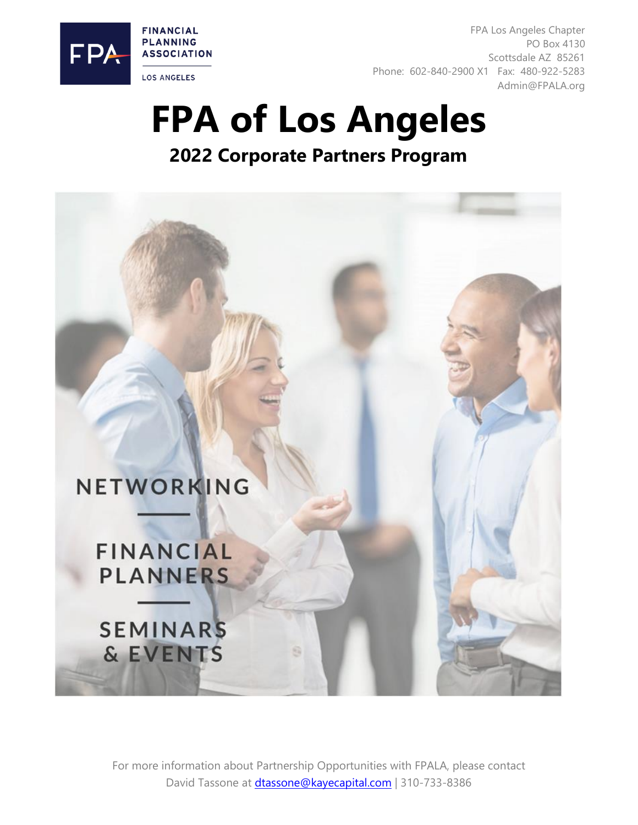

FPA Los Angeles Chapter PO Box 4130 Scottsdale AZ 85261 Phone: 602-840-2900 X1 Fax: 480-922-5283 Admin@FPALA.org

# **FPA of Los Angeles**

**2022 Corporate Partners Program**

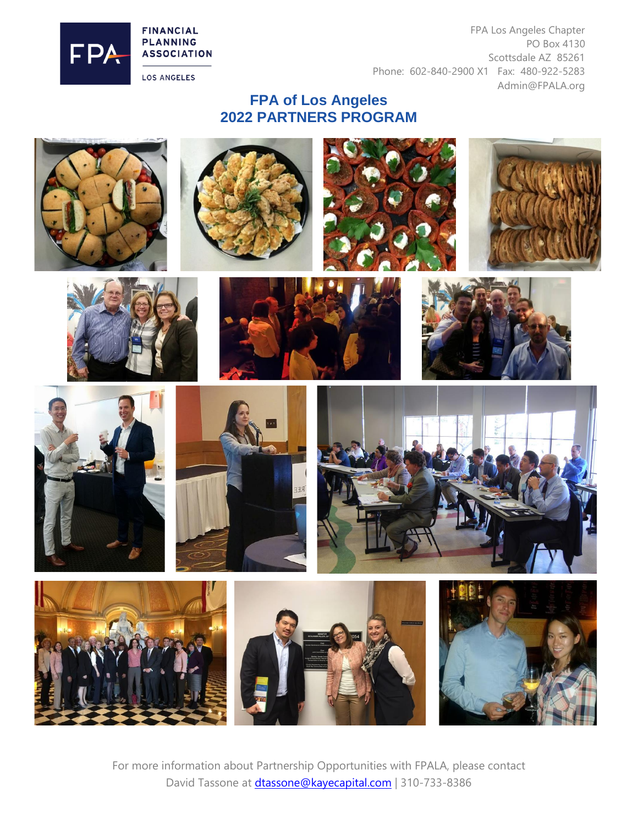**FINANCIAL PLANNING ASSOCIATION** 



**LOS ANGELES** 

FPA Los Angeles Chapter PO Box 4130 Scottsdale AZ 85261 Phone: 602-840-2900 X1 Fax: 480-922-5283 Admin@FPALA.org

#### **FPA of Los Angeles 2022 PARTNERS PROGRAM**

























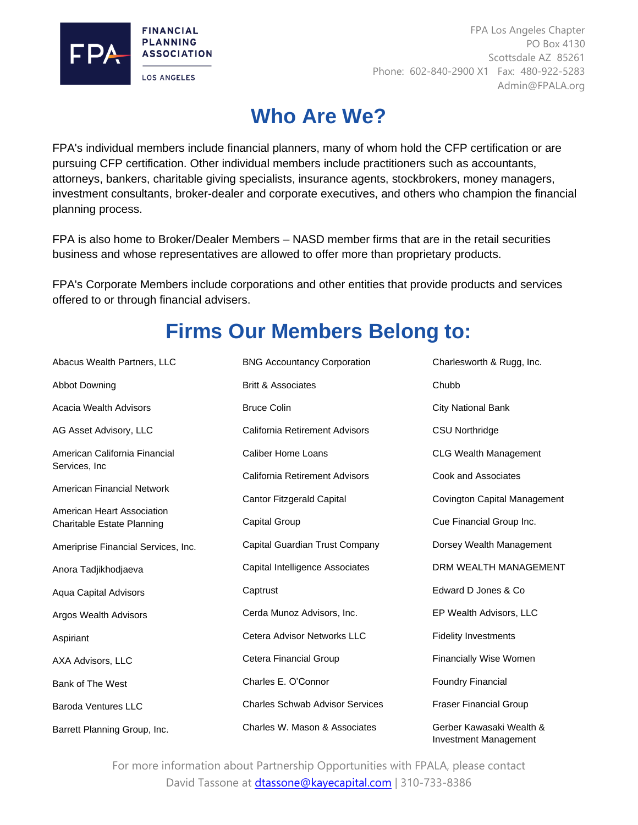

FPA Los Angeles Chapter PO Box 4130 Scottsdale AZ 85261 Phone: 602-840-2900 X1 Fax: 480-922-5283 Admin@FPALA.org

## **Who Are We?**

FPA's individual members include financial planners, many of whom hold the CFP certification or are pursuing CFP certification. Other individual members include practitioners such as accountants, attorneys, bankers, charitable giving specialists, insurance agents, stockbrokers, money managers, investment consultants, broker-dealer and corporate executives, and others who champion the financial planning process.

FPA is also home to Broker/Dealer Members – NASD member firms that are in the retail securities business and whose representatives are allowed to offer more than proprietary products.

FPA's Corporate Members include corporations and other entities that provide products and services offered to or through financial advisers.

# **Firms Our Members Belong to:**

| Abacus Wealth Partners, LLC                              | <b>BNG Accountancy Corporation</b>     | Charlesworth & Rugg, Inc.                                |  |
|----------------------------------------------------------|----------------------------------------|----------------------------------------------------------|--|
| <b>Abbot Downing</b>                                     | <b>Britt &amp; Associates</b>          | Chubb                                                    |  |
| Acacia Wealth Advisors                                   | <b>Bruce Colin</b>                     | <b>City National Bank</b>                                |  |
| AG Asset Advisory, LLC                                   | California Retirement Advisors         | <b>CSU Northridge</b>                                    |  |
| American California Financial                            | Caliber Home Loans                     | <b>CLG Wealth Management</b>                             |  |
| Services, Inc.                                           | California Retirement Advisors         | Cook and Associates                                      |  |
| American Financial Network                               | <b>Cantor Fitzgerald Capital</b>       | Covington Capital Management                             |  |
| American Heart Association<br>Charitable Estate Planning | Capital Group                          | Cue Financial Group Inc.                                 |  |
| Ameriprise Financial Services, Inc.                      | Capital Guardian Trust Company         | Dorsey Wealth Management                                 |  |
| Anora Tadjikhodjaeva                                     | Capital Intelligence Associates        | DRM WEALTH MANAGEMENT                                    |  |
| <b>Aqua Capital Advisors</b>                             | Captrust                               | Edward D Jones & Co.                                     |  |
| Argos Wealth Advisors                                    | Cerda Munoz Advisors, Inc.             | EP Wealth Advisors, LLC                                  |  |
| Aspiriant                                                | Cetera Advisor Networks LLC            | <b>Fidelity Investments</b>                              |  |
| AXA Advisors, LLC                                        | Cetera Financial Group                 | Financially Wise Women                                   |  |
| Bank of The West                                         | Charles E. O'Connor                    | <b>Foundry Financial</b>                                 |  |
| <b>Baroda Ventures LLC</b>                               | <b>Charles Schwab Advisor Services</b> | <b>Fraser Financial Group</b>                            |  |
| Barrett Planning Group, Inc.                             | Charles W. Mason & Associates          | Gerber Kawasaki Wealth &<br><b>Investment Management</b> |  |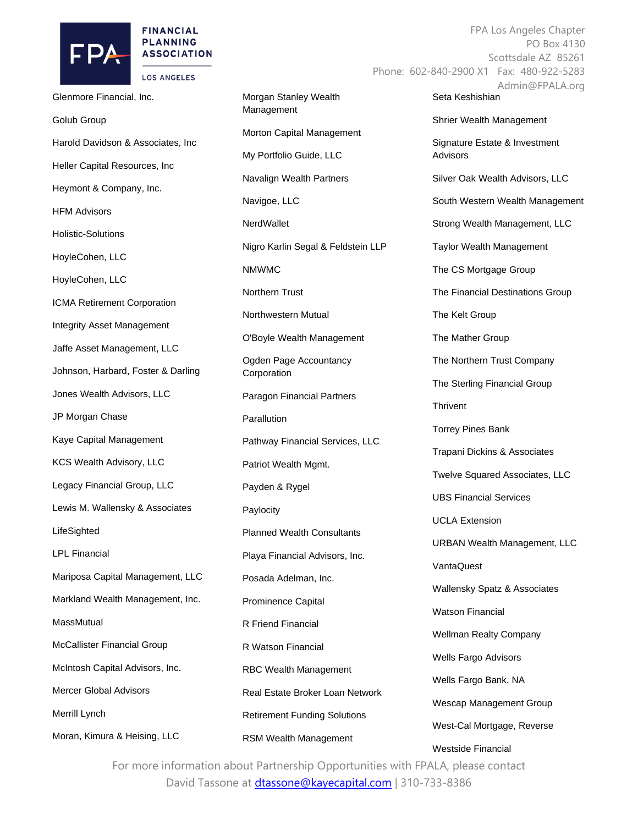

#### **FINANCIAL PLANNING ASSOCIATION**

**LOS ANGELES** 

Glenmore Financial, Inc. Golub Group Harold Davidson & Associates, Inc Heller Capital Resources, Inc Heymont & Company, Inc. HFM Advisors Holistic-Solutions HoyleCohen, LLC HoyleCohen, LLC ICMA Retirement Corporation Integrity Asset Management Jaffe Asset Management, LLC Johnson, Harbard, Foster & Darling Jones Wealth Advisors, LLC JP Morgan Chase Kaye Capital Management KCS Wealth Advisory, LLC Legacy Financial Group, LLC Lewis M. Wallensky & Associates **LifeSighted** LPL Financial Mariposa Capital Management, LLC Markland Wealth Management, Inc. **MassMutual** McCallister Financial Group McIntosh Capital Advisors, Inc. Mercer Global Advisors Merrill Lynch Moran, Kimura & Heising, LLC

Morgan Stanley Wealth Management Morton Capital Management My Portfolio Guide, LLC Navalign Wealth Partners Navigoe, LLC **NerdWallet** Nigro Karlin Segal & Feldstein LLP NMWMC Northern Trust Northwestern Mutual O'Boyle Wealth Management Ogden Page Accountancy **Corporation** Paragon Financial Partners **Parallution** Pathway Financial Services, LLC Patriot Wealth Mgmt. Payden & Rygel Paylocity Planned Wealth Consultants Playa Financial Advisors, Inc. Posada Adelman, Inc. Prominence Capital R Friend Financial R Watson Financial RBC Wealth Management Real Estate Broker Loan Network Retirement Funding Solutions RSM Wealth Management

FPA Los Angeles Chapter PO Box 4130 Scottsdale AZ 85261 Phone: 602-840-2900 X1 Fax: 480-922-5283 Admin@FPALA.org Seta Keshishian Shrier Wealth Management Signature Estate & Investment Advisors Silver Oak Wealth Advisors, LLC South Western Wealth Management Strong Wealth Management, LLC Taylor Wealth Management The CS Mortgage Group The Financial Destinations Group The Kelt Group The Mather Group The Northern Trust Company The Sterling Financial Group **Thrivent** Torrey Pines Bank Trapani Dickins & Associates Twelve Squared Associates, LLC UBS Financial Services UCLA Extension

URBAN Wealth Management, LLC

VantaQuest

Wallensky Spatz & Associates

Watson Financial

Wellman Realty Company

Wells Fargo Advisors

Wells Fargo Bank, NA

Wescap Management Group

West-Cal Mortgage, Reverse

Westside Financial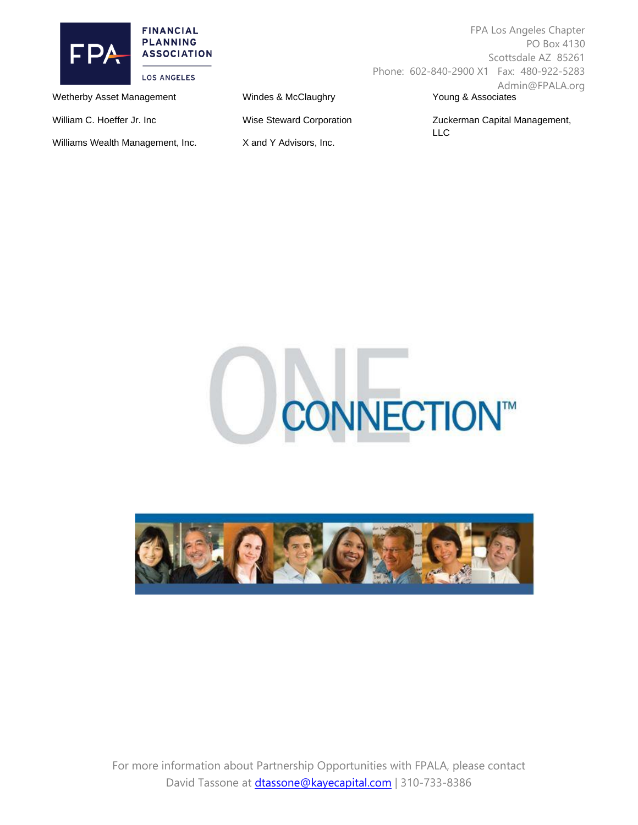

FPA Los Angeles Chapter PO Box 4130 Scottsdale AZ 85261 Phone: 602-840-2900 X1 Fax: 480-922-5283 Admin@FPALA.org Young & Associates

William C. Hoeffer Jr. Inc

Wetherby Asset Management

Williams Wealth Management, Inc.

Windes & McClaughry

Wise Steward Corporation

X and Y Advisors, Inc.

Zuckerman Capital Management, LLC



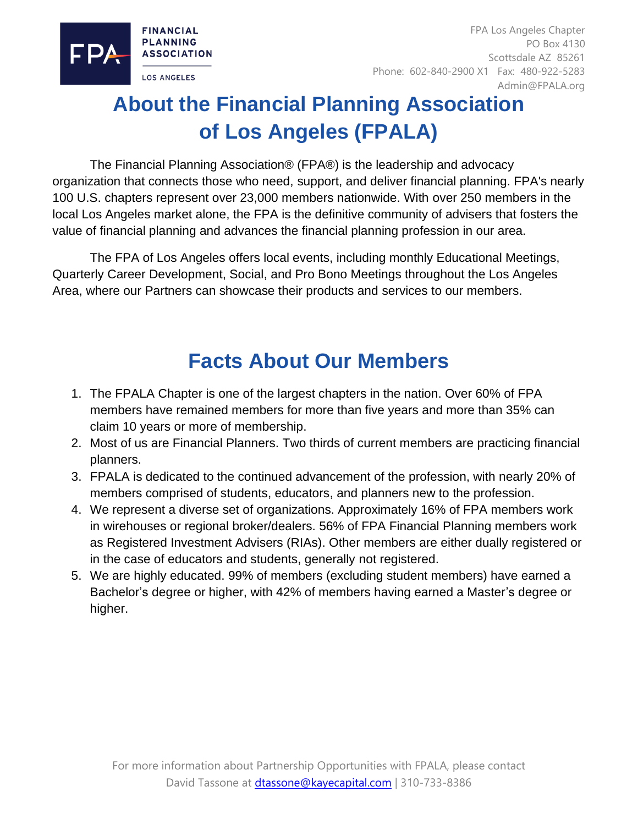

# **About the Financial Planning Association of Los Angeles (FPALA)**

The Financial Planning Association® (FPA®) is the leadership and advocacy organization that connects those who need, support, and deliver financial planning. FPA's nearly 100 U.S. chapters represent over 23,000 members nationwide. With over 250 members in the local Los Angeles market alone, the FPA is the definitive community of advisers that fosters the value of financial planning and advances the financial planning profession in our area.

The FPA of Los Angeles offers local events, including monthly Educational Meetings, Quarterly Career Development, Social, and Pro Bono Meetings throughout the Los Angeles Area, where our Partners can showcase their products and services to our members.

## **Facts About Our Members**

- 1. The FPALA Chapter is one of the largest chapters in the nation. Over 60% of FPA members have remained members for more than five years and more than 35% can claim 10 years or more of membership.
- 2. Most of us are Financial Planners. Two thirds of current members are practicing financial planners.
- 3. FPALA is dedicated to the continued advancement of the profession, with nearly 20% of members comprised of students, educators, and planners new to the profession.
- 4. We represent a diverse set of organizations. Approximately 16% of FPA members work in wirehouses or regional broker/dealers. 56% of FPA Financial Planning members work as Registered Investment Advisers (RIAs). Other members are either dually registered or in the case of educators and students, generally not registered.
- 5. We are highly educated. 99% of members (excluding student members) have earned a Bachelor's degree or higher, with 42% of members having earned a Master's degree or higher.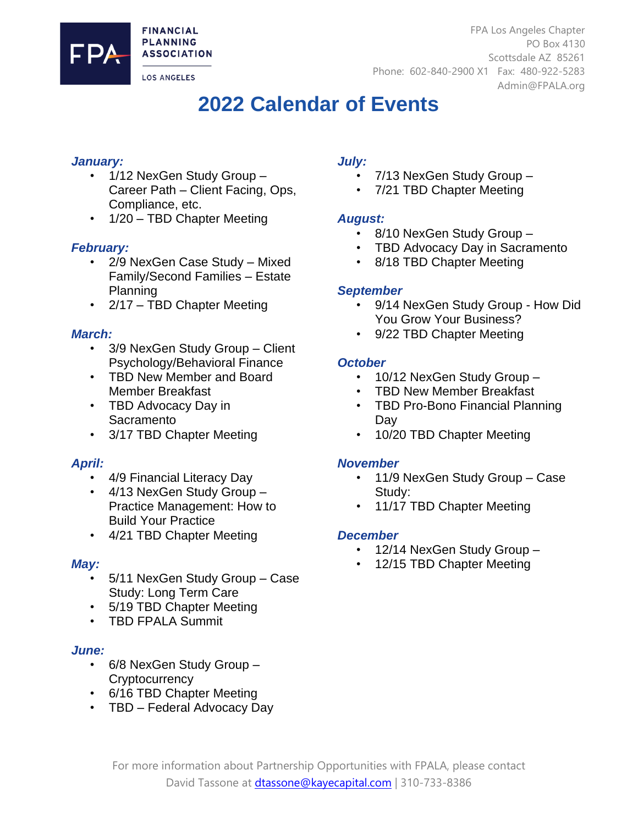**FINANCIAL PLANNING ASSOCIATION** 

**LOS ANGELES** 

FPA Los Angeles Chapter PO Box 4130 Scottsdale AZ 85261 Phone: 602-840-2900 X1 Fax: 480-922-5283 Admin@FPALA.org

### **2022 Calendar of Events**

#### *January:*

- 1/12 NexGen Study Group Career Path – Client Facing, Ops, Compliance, etc.
- 1/20 TBD Chapter Meeting

#### *February:*

- 2/9 NexGen Case Study Mixed Family/Second Families – Estate Planning
- 2/17 TBD Chapter Meeting

#### *March:*

- 3/9 NexGen Study Group Client Psychology/Behavioral Finance
- TBD New Member and Board Member Breakfast
- TBD Advocacy Day in **Sacramento**
- 3/17 TBD Chapter Meeting

#### *April:*

- 4/9 Financial Literacy Day
- 4/13 NexGen Study Group Practice Management: How to Build Your Practice
- 4/21 TBD Chapter Meeting

#### *May:*

- 5/11 NexGen Study Group Case Study: Long Term Care
- 5/19 TBD Chapter Meeting
- TBD FPALA Summit

#### *June:*

- 6/8 NexGen Study Group **Cryptocurrency**
- 6/16 TBD Chapter Meeting
- TBD Federal Advocacy Day

#### *July:*

- 7/13 NexGen Study Group –
- 7/21 TBD Chapter Meeting

#### *August:*

- 8/10 NexGen Study Group –
- TBD Advocacy Day in Sacramento
- 8/18 TBD Chapter Meeting

#### *September*

- 9/14 NexGen Study Group How Did You Grow Your Business?
- 9/22 TBD Chapter Meeting

#### *October*

- 10/12 NexGen Study Group -
- TBD New Member Breakfast
- TBD Pro-Bono Financial Planning Day
- 10/20 TBD Chapter Meeting

#### *November*

- 11/9 NexGen Study Group Case Study:
- 11/17 TBD Chapter Meeting

#### *December*

- 12/14 NexGen Study Group -
	- 12/15 TBD Chapter Meeting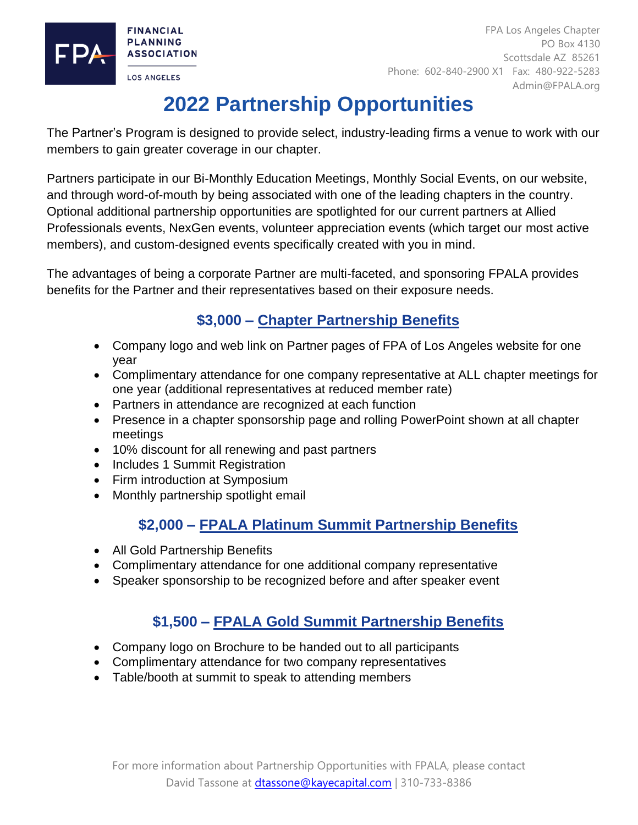

FPA Los Angeles Chapter PO Box 4130 Scottsdale AZ 85261 Phone: 602-840-2900 X1 Fax: 480-922-5283 Admin@FPALA.org

# **2022 Partnership Opportunities**

The Partner's Program is designed to provide select, industry-leading firms a venue to work with our members to gain greater coverage in our chapter.

Partners participate in our Bi-Monthly Education Meetings, Monthly Social Events, on our website, and through word-of-mouth by being associated with one of the leading chapters in the country. Optional additional partnership opportunities are spotlighted for our current partners at Allied Professionals events, NexGen events, volunteer appreciation events (which target our most active members), and custom-designed events specifically created with you in mind.

The advantages of being a corporate Partner are multi-faceted, and sponsoring FPALA provides benefits for the Partner and their representatives based on their exposure needs.

### **\$3,000 – Chapter Partnership Benefits**

- Company logo and web link on Partner pages of FPA of Los Angeles website for one year
- Complimentary attendance for one company representative at ALL chapter meetings for one year (additional representatives at reduced member rate)
- Partners in attendance are recognized at each function
- Presence in a chapter sponsorship page and rolling PowerPoint shown at all chapter meetings
- 10% discount for all renewing and past partners
- Includes 1 Summit Registration
- Firm introduction at Symposium
- Monthly partnership spotlight email

#### **\$2,000 – FPALA Platinum Summit Partnership Benefits**

- All Gold Partnership Benefits
- Complimentary attendance for one additional company representative
- Speaker sponsorship to be recognized before and after speaker event

### **\$1,500 – FPALA Gold Summit Partnership Benefits**

- Company logo on Brochure to be handed out to all participants
- Complimentary attendance for two company representatives
- Table/booth at summit to speak to attending members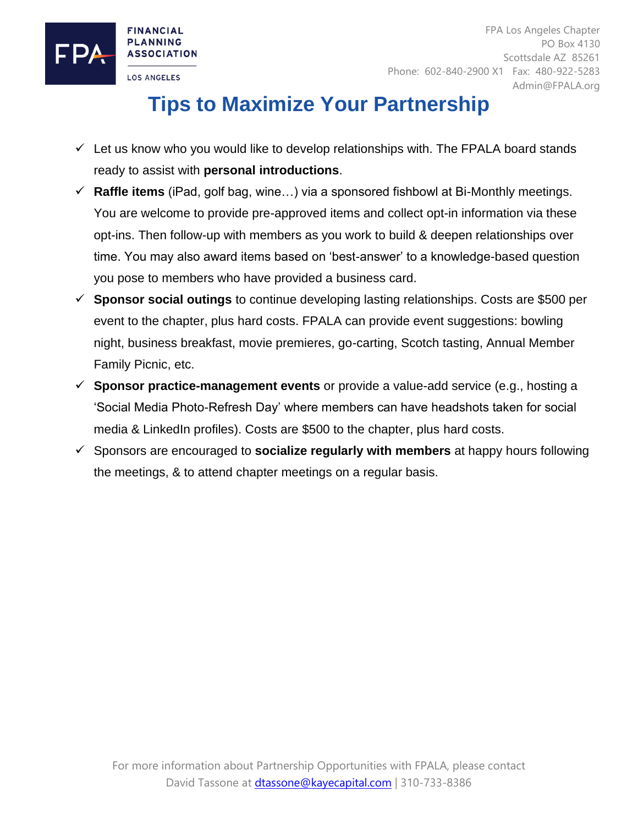

# **Tips to Maximize Your Partnership**

- $\checkmark$  Let us know who you would like to develop relationships with. The FPALA board stands ready to assist with **personal introductions**.
- ✓ **Raffle items** (iPad, golf bag, wine…) via a sponsored fishbowl at Bi-Monthly meetings. You are welcome to provide pre-approved items and collect opt-in information via these opt-ins. Then follow-up with members as you work to build & deepen relationships over time. You may also award items based on 'best-answer' to a knowledge-based question you pose to members who have provided a business card.
- ✓ **Sponsor social outings** to continue developing lasting relationships. Costs are \$500 per event to the chapter, plus hard costs. FPALA can provide event suggestions: bowling night, business breakfast, movie premieres, go-carting, Scotch tasting, Annual Member Family Picnic, etc.
- ✓ **Sponsor practice-management events** or provide a value-add service (e.g., hosting a 'Social Media Photo-Refresh Day' where members can have headshots taken for social media & LinkedIn profiles). Costs are \$500 to the chapter, plus hard costs.
- ✓ Sponsors are encouraged to **socialize regularly with members** at happy hours following the meetings, & to attend chapter meetings on a regular basis.